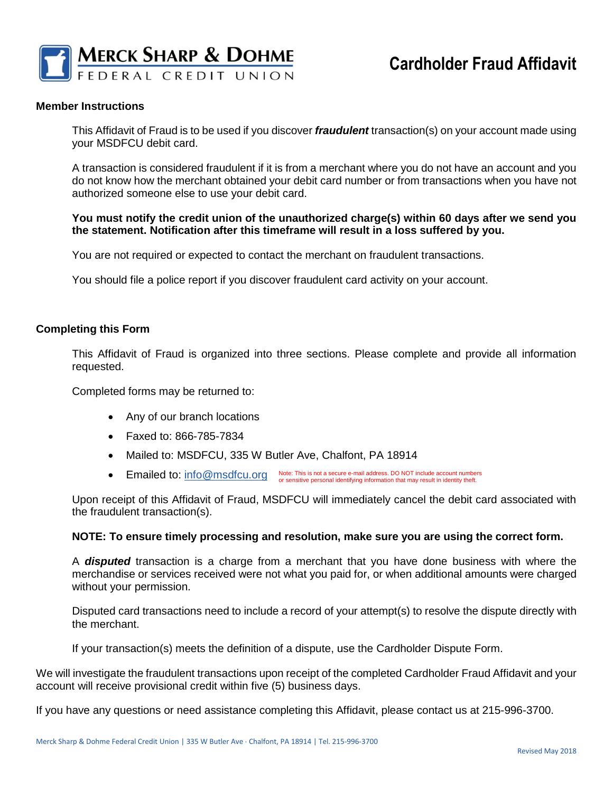

### **Member Instructions**

This Affidavit of Fraud is to be used if you discover *fraudulent* transaction(s) on your account made using your MSDFCU debit card.

A transaction is considered fraudulent if it is from a merchant where you do not have an account and you do not know how the merchant obtained your debit card number or from transactions when you have not authorized someone else to use your debit card.

### **You must notify the credit union of the unauthorized charge(s) within 60 days after we send you the statement. Notification after this timeframe will result in a loss suffered by you.**

You are not required or expected to contact the merchant on fraudulent transactions.

You should file a police report if you discover fraudulent card activity on your account.

### **Completing this Form**

This Affidavit of Fraud is organized into three sections. Please complete and provide all information requested.

Completed forms may be returned to:

- Any of our branch locations
- Faxed to: 866-785-7834
- Mailed to: MSDFCU, 335 W Butler Ave, Chalfont, PA 18914
- Emailed to: [info@msdfcu.org](mailto:info@msdfcu.org) Note: This is not a secure e-mail address. DO NOT include account numbers<br>
or sensitive personal identifying information that may result in identity theft.

Upon receipt of this Affidavit of Fraud, MSDFCU will immediately cancel the debit card associated with the fraudulent transaction(s).

### **NOTE: To ensure timely processing and resolution, make sure you are using the correct form.**

A *disputed* transaction is a charge from a merchant that you have done business with where the merchandise or services received were not what you paid for, or when additional amounts were charged without your permission.

Disputed card transactions need to include a record of your attempt(s) to resolve the dispute directly with the merchant.

If your transaction(s) meets the definition of a dispute, use the Cardholder Dispute Form.

We will investigate the fraudulent transactions upon receipt of the completed Cardholder Fraud Affidavit and your account will receive provisional credit within five (5) business days.

If you have any questions or need assistance completing this Affidavit, please contact us at 215-996-3700.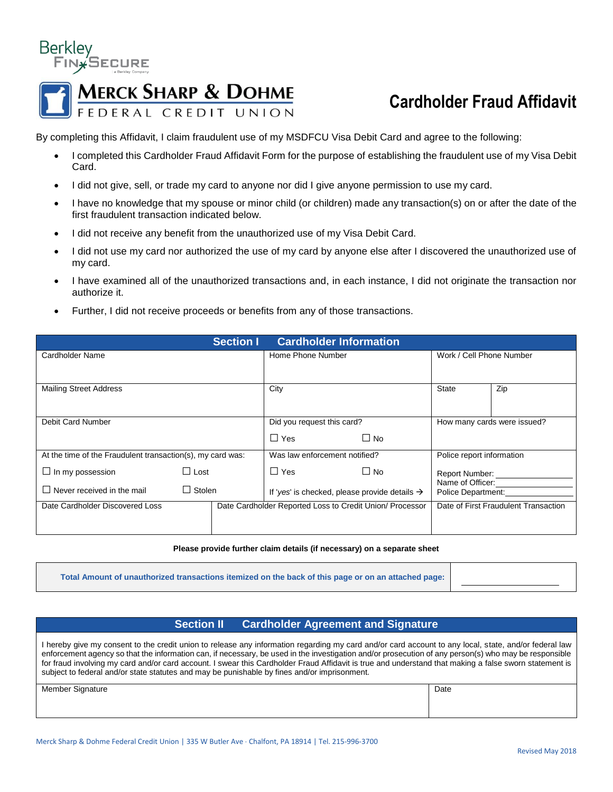

# **Cardholder Fraud Affidavit**

By completing this Affidavit, I claim fraudulent use of my MSDFCU Visa Debit Card and agree to the following:

- I completed this Cardholder Fraud Affidavit Form for the purpose of establishing the fraudulent use of my Visa Debit Card.
- I did not give, sell, or trade my card to anyone nor did I give anyone permission to use my card.
- I have no knowledge that my spouse or minor child (or children) made any transaction(s) on or after the date of the first fraudulent transaction indicated below.
- I did not receive any benefit from the unauthorized use of my Visa Debit Card.
- I did not use my card nor authorized the use of my card by anyone else after I discovered the unauthorized use of my card.
- I have examined all of the unauthorized transactions and, in each instance, I did not originate the transaction nor authorize it.
- Further, I did not receive proceeds or benefits from any of those transactions.

| <b>Cardholder Information</b><br><b>Section I</b>          |                |                               |                                                                                                        |                                                          |                             |                                        |     |  |  |
|------------------------------------------------------------|----------------|-------------------------------|--------------------------------------------------------------------------------------------------------|----------------------------------------------------------|-----------------------------|----------------------------------------|-----|--|--|
| Cardholder Name                                            |                | Home Phone Number             |                                                                                                        |                                                          | Work / Cell Phone Number    |                                        |     |  |  |
|                                                            |                |                               |                                                                                                        |                                                          |                             |                                        |     |  |  |
| <b>Mailing Street Address</b>                              |                |                               | City                                                                                                   |                                                          |                             | <b>State</b>                           | Zip |  |  |
|                                                            |                |                               |                                                                                                        |                                                          |                             |                                        |     |  |  |
| Debit Card Number                                          |                | Did you request this card?    |                                                                                                        |                                                          | How many cards were issued? |                                        |     |  |  |
|                                                            |                |                               | $\Box$ Yes                                                                                             | $\Box$ No                                                |                             |                                        |     |  |  |
| At the time of the Fraudulent transaction(s), my card was: |                | Was law enforcement notified? |                                                                                                        |                                                          | Police report information   |                                        |     |  |  |
| $\Box$ In my possession                                    | $\square$ Lost |                               | $\Box$ Yes<br>$\Box$ No<br>Report Number:<br>If 'yes' is checked, please provide details $\rightarrow$ |                                                          |                             |                                        |     |  |  |
| $\Box$ Never received in the mail                          | $\Box$ Stolen  |                               |                                                                                                        |                                                          |                             | Name of Officer:<br>Police Department: |     |  |  |
| Date Cardholder Discovered Loss                            |                |                               |                                                                                                        | Date Cardholder Reported Loss to Credit Union/ Processor |                             | Date of First Fraudulent Transaction   |     |  |  |
|                                                            |                |                               |                                                                                                        |                                                          |                             |                                        |     |  |  |

#### **Please provide further claim details (if necessary) on a separate sheet**

**Total Amount of unauthorized transactions itemized on the back of this page or on an attached page:** 

### **Section II Cardholder Agreement and Signature**

I hereby give my consent to the credit union to release any information regarding my card and/or card account to any local, state, and/or federal law enforcement agency so that the information can, if necessary, be used in the investigation and/or prosecution of any person(s) who may be responsible for fraud involving my card and/or card account. I swear this Cardholder Fraud Affidavit is true and understand that making a false sworn statement is subject to federal and/or state statutes and may be punishable by fines and/or imprisonment.

Member Signature Date Date of the United States of the United States of the Date of the Date of the United States of the United States of the United States of the United States of the United States of the United States of